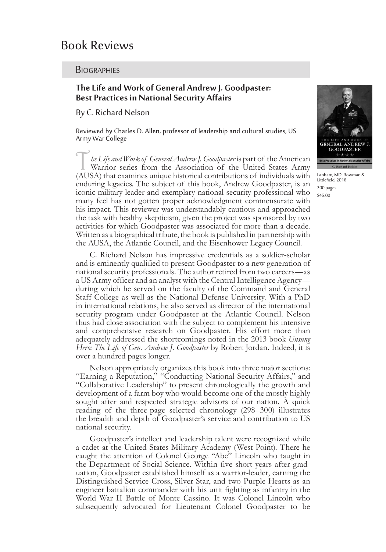# Book Reviews

### **BIOGRAPHIES**

# **The Life and Work of General Andrew J. Goodpaster: Best Practices in National Security Affairs**

By C. Richard Nelson

Reviewed by Charles D. Allen, professor of leadership and cultural studies, US Army War College

he Life and Work of General Andrew J. Goodpaster is part of the American Warrior series from the Association of the United States Army (AUSA) that examines unique historical contributions of individuals with enduring legacies. The subject of this book, Andrew Goodpaster, is an iconic military leader and exemplary national security professional who many feel has not gotten proper acknowledgment commensurate with his impact. This reviewer was understandably cautious and approached the task with healthy skepticism, given the project was sponsored by two activities for which Goodpaster was associated for more than a decade. Written as a biographical tribute, the book is published in partnership with the AUSA, the Atlantic Council, and the Eisenhower Legacy Council.

C. Richard Nelson has impressive credentials as a soldier-scholar and is eminently qualified to present Goodpaster to a new generation of national security professionals. The author retired from two careers—as a US Army officer and an analyst with the Central Intelligence Agency during which he served on the faculty of the Command and General Staff College as well as the National Defense University. With a PhD in international relations, he also served as director of the international security program under Goodpaster at the Atlantic Council. Nelson thus had close association with the subject to complement his intensive and comprehensive research on Goodpaster. His effort more than adequately addressed the shortcomings noted in the 2013 book *Unsung Hero: The Life of Gen. Andrew J. Goodpaster* by Robert Jordan. Indeed, it is over a hundred pages longer.

Nelson appropriately organizes this book into three major sections: "Earning a Reputation," "Conducting National Security Affairs," and "Collaborative Leadership" to present chronologically the growth and development of a farm boy who would become one of the mostly highly sought after and respected strategic advisors of our nation. A quick reading of the three-page selected chronology (298–300) illustrates the breadth and depth of Goodpaster's service and contribution to US national security.

Goodpaster's intellect and leadership talent were recognized while a cadet at the United States Military Academy (West Point). There he caught the attention of Colonel George "Abe" Lincoln who taught in the Department of Social Science. Within five short years after graduation, Goodpaster established himself as a warrior-leader, earning the Distinguished Service Cross, Silver Star, and two Purple Hearts as an engineer battalion commander with his unit fighting as infantry in the World War II Battle of Monte Cassino. It was Colonel Lincoln who subsequently advocated for Lieutenant Colonel Goodpaster to be



Lanham, MD: Rowman & Littlefield, 2016 300 pages \$45.00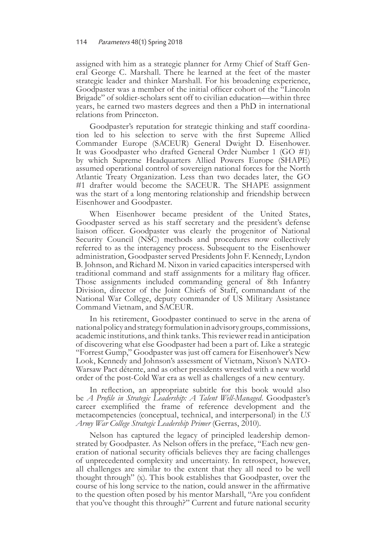assigned with him as a strategic planner for Army Chief of Staff General George C. Marshall. There he learned at the feet of the master strategic leader and thinker Marshall. For his broadening experience, Goodpaster was a member of the initial officer cohort of the "Lincoln Brigade" of soldier-scholars sent off to civilian education—within three years, he earned two masters degrees and then a PhD in international relations from Princeton.

Goodpaster's reputation for strategic thinking and staff coordination led to his selection to serve with the first Supreme Allied Commander Europe (SACEUR) General Dwight D. Eisenhower. It was Goodpaster who drafted General Order Number 1 (GO #1) by which Supreme Headquarters Allied Powers Europe (SHAPE) assumed operational control of sovereign national forces for the North Atlantic Treaty Organization. Less than two decades later, the GO #1 drafter would become the SACEUR. The SHAPE assignment was the start of a long mentoring relationship and friendship between Eisenhower and Goodpaster.

When Eisenhower became president of the United States, Goodpaster served as his staff secretary and the president's defense liaison officer. Goodpaster was clearly the progenitor of National Security Council (NSC) methods and procedures now collectively referred to as the interagency process. Subsequent to the Eisenhower administration, Goodpaster served Presidents John F. Kennedy, Lyndon B. Johnson, and Richard M. Nixon in varied capacities interspersed with traditional command and staff assignments for a military flag officer. Those assignments included commanding general of 8th Infantry Division, director of the Joint Chiefs of Staff, commandant of the National War College, deputy commander of US Military Assistance Command Vietnam, and SACEUR.

In his retirement, Goodpaster continued to serve in the arena of national policy and strategy formulation in advisory groups, commissions, academic institutions, and think tanks. This reviewer read in anticipation of discovering what else Goodpaster had been a part of. Like a strategic "Forrest Gump," Goodpaster was just off camera for Eisenhower's New Look, Kennedy and Johnson's assessment of Vietnam, Nixon's NATO-Warsaw Pact détente, and as other presidents wrestled with a new world order of the post-Cold War era as well as challenges of a new century.

In reflection, an appropriate subtitle for this book would also be *A Profile in Strategic Leadership: A Talent Well-Managed*. Goodpaster's career exemplified the frame of reference development and the metacompetencies (conceptual, technical, and interpersonal) in the *US Army War College Strategic Leadership Primer* (Gerras, 2010).

Nelson has captured the legacy of principled leadership demonstrated by Goodpaster. As Nelson offers in the preface, "Each new generation of national security officials believes they are facing challenges of unprecedented complexity and uncertainty. In retrospect, however, all challenges are similar to the extent that they all need to be well thought through" (x). This book establishes that Goodpaster, over the course of his long service to the nation, could answer in the affirmative to the question often posed by his mentor Marshall, "Are you confident that you've thought this through?" Current and future national security